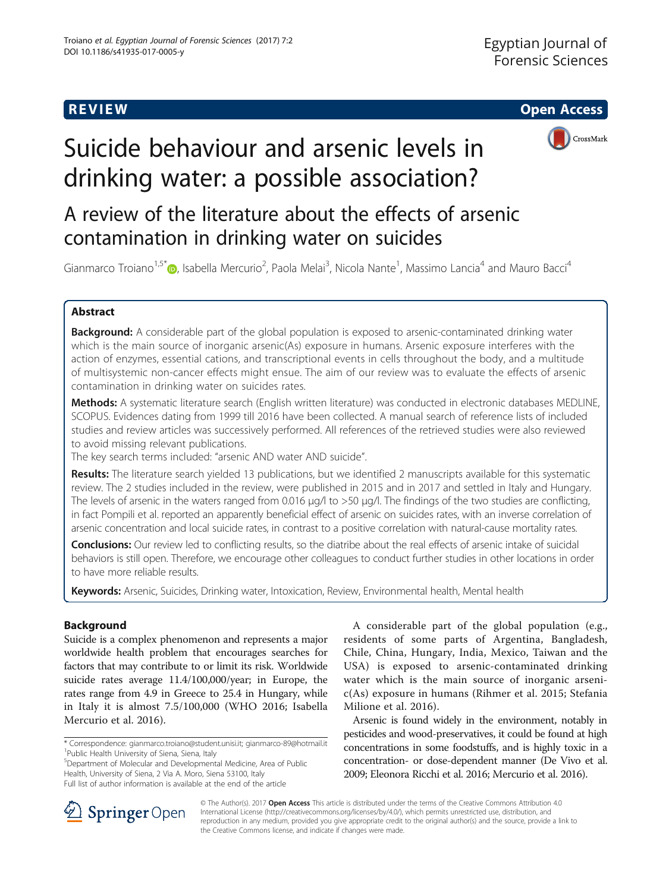**REVIEW CONSTRUCTION CONSTRUCTION CONSTRUCTS** 

CrossMark

# Suicide behaviour and arsenic levels in drinking water: a possible association?



Gianmarco Troiano<sup>1,5[\\*](http://orcid.org/0000-0001-5205-0083)</sup>�, Isabella Mercurio<sup>2</sup>, Paola Melai<sup>3</sup>, Nicola Nante<sup>1</sup>, Massimo Lancia<sup>4</sup> and Mauro Bacci<sup>4</sup>

# Abstract

Background: A considerable part of the global population is exposed to arsenic-contaminated drinking water which is the main source of inorganic arsenic(As) exposure in humans. Arsenic exposure interferes with the action of enzymes, essential cations, and transcriptional events in cells throughout the body, and a multitude of multisystemic non-cancer effects might ensue. The aim of our review was to evaluate the effects of arsenic contamination in drinking water on suicides rates.

Methods: A systematic literature search (English written literature) was conducted in electronic databases MEDLINE, SCOPUS. Evidences dating from 1999 till 2016 have been collected. A manual search of reference lists of included studies and review articles was successively performed. All references of the retrieved studies were also reviewed to avoid missing relevant publications.

The key search terms included: "arsenic AND water AND suicide".

Results: The literature search yielded 13 publications, but we identified 2 manuscripts available for this systematic review. The 2 studies included in the review, were published in 2015 and in 2017 and settled in Italy and Hungary. The levels of arsenic in the waters ranged from 0.016 μg/l to >50 μg/l. The findings of the two studies are conflicting, in fact Pompili et al. reported an apparently beneficial effect of arsenic on suicides rates, with an inverse correlation of arsenic concentration and local suicide rates, in contrast to a positive correlation with natural-cause mortality rates.

Conclusions: Our review led to conflicting results, so the diatribe about the real effects of arsenic intake of suicidal behaviors is still open. Therefore, we encourage other colleagues to conduct further studies in other locations in order to have more reliable results.

Keywords: Arsenic, Suicides, Drinking water, Intoxication, Review, Environmental health, Mental health

# Background

Suicide is a complex phenomenon and represents a major worldwide health problem that encourages searches for factors that may contribute to or limit its risk. Worldwide suicide rates average 11.4/100,000/year; in Europe, the rates range from 4.9 in Greece to 25.4 in Hungary, while in Italy it is almost 7.5/100,000 (WHO [2016;](#page-3-0) Isabella Mercurio et al. [2016\)](#page-3-0).

5 Department of Molecular and Developmental Medicine, Area of Public Health, University of Siena, 2 Via A. Moro, Siena 53100, Italy Full list of author information is available at the end of the article

A considerable part of the global population (e.g., residents of some parts of Argentina, Bangladesh, Chile, China, Hungary, India, Mexico, Taiwan and the USA) is exposed to arsenic-contaminated drinking water which is the main source of inorganic arsenic(As) exposure in humans (Rihmer et al. [2015;](#page-3-0) Stefania Milione et al. [2016\)](#page-3-0).

Arsenic is found widely in the environment, notably in pesticides and wood-preservatives, it could be found at high concentrations in some foodstuffs, and is highly toxic in a concentration- or dose-dependent manner (De Vivo et al. [2009;](#page-3-0) Eleonora Ricchi et al. [2016](#page-3-0); Mercurio et al. [2016\)](#page-3-0).



© The Author(s). 2017 **Open Access** This article is distributed under the terms of the Creative Commons Attribution 4.0 International License ([http://creativecommons.org/licenses/by/4.0/\)](http://creativecommons.org/licenses/by/4.0/), which permits unrestricted use, distribution, and reproduction in any medium, provided you give appropriate credit to the original author(s) and the source, provide a link to the Creative Commons license, and indicate if changes were made.

<sup>\*</sup> Correspondence: [gianmarco.troiano@student.unisi.it](mailto:<?A3B2 twb=.27w?><?A3B2 tlsb=-.09pt?>gianmarco.troiano@student.unisi.it); [gianmarco-89@hotmail.it](mailto:<?A3B2 twb=.27w?><?A3B2 tlsb=-.09pt?>gianmarco-89@hotmail.it) <sup>1</sup> <sup>1</sup>Public Health University of Siena, Siena, Italy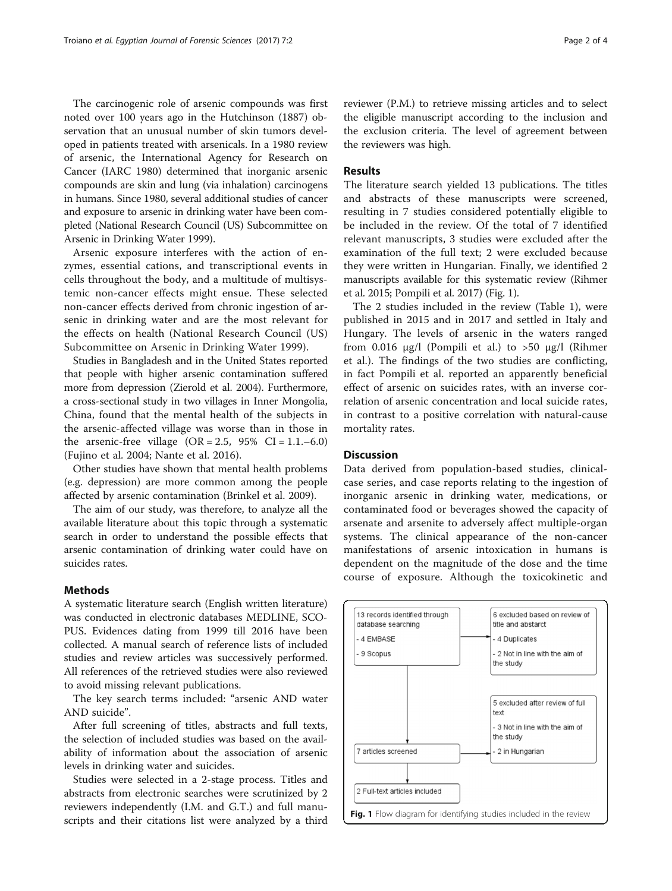The carcinogenic role of arsenic compounds was first noted over 100 years ago in the Hutchinson (1887) observation that an unusual number of skin tumors developed in patients treated with arsenicals. In a 1980 review of arsenic, the International Agency for Research on Cancer (IARC [1980](#page-3-0)) determined that inorganic arsenic compounds are skin and lung (via inhalation) carcinogens in humans. Since 1980, several additional studies of cancer and exposure to arsenic in drinking water have been completed (National Research Council (US) Subcommittee on Arsenic in Drinking Water [1999\)](#page-3-0).

Arsenic exposure interferes with the action of enzymes, essential cations, and transcriptional events in cells throughout the body, and a multitude of multisystemic non-cancer effects might ensue. These selected non-cancer effects derived from chronic ingestion of arsenic in drinking water and are the most relevant for the effects on health (National Research Council (US) Subcommittee on Arsenic in Drinking Water [1999](#page-3-0)).

Studies in Bangladesh and in the United States reported that people with higher arsenic contamination suffered more from depression (Zierold et al. [2004\)](#page-3-0). Furthermore, a cross-sectional study in two villages in Inner Mongolia, China, found that the mental health of the subjects in the arsenic-affected village was worse than in those in the arsenic-free village  $(OR = 2.5, 95\% \text{ CI} = 1.1, -6.0)$ (Fujino et al. [2004](#page-3-0); Nante et al. [2016\)](#page-3-0).

Other studies have shown that mental health problems (e.g. depression) are more common among the people affected by arsenic contamination (Brinkel et al. [2009](#page-3-0)).

The aim of our study, was therefore, to analyze all the available literature about this topic through a systematic search in order to understand the possible effects that arsenic contamination of drinking water could have on suicides rates.

# Methods

A systematic literature search (English written literature) was conducted in electronic databases MEDLINE, SCO-PUS. Evidences dating from 1999 till 2016 have been collected. A manual search of reference lists of included studies and review articles was successively performed. All references of the retrieved studies were also reviewed to avoid missing relevant publications.

The key search terms included: "arsenic AND water AND suicide".

After full screening of titles, abstracts and full texts, the selection of included studies was based on the availability of information about the association of arsenic levels in drinking water and suicides.

Studies were selected in a 2-stage process. Titles and abstracts from electronic searches were scrutinized by 2 reviewers independently (I.M. and G.T.) and full manuscripts and their citations list were analyzed by a third reviewer (P.M.) to retrieve missing articles and to select the eligible manuscript according to the inclusion and the exclusion criteria. The level of agreement between the reviewers was high.

# Results

The literature search yielded 13 publications. The titles and abstracts of these manuscripts were screened, resulting in 7 studies considered potentially eligible to be included in the review. Of the total of 7 identified relevant manuscripts, 3 studies were excluded after the examination of the full text; 2 were excluded because they were written in Hungarian. Finally, we identified 2 manuscripts available for this systematic review (Rihmer et al. [2015](#page-3-0); Pompili et al. [2017\)](#page-3-0) (Fig. 1).

The 2 studies included in the review (Table [1\)](#page-2-0), were published in 2015 and in 2017 and settled in Italy and Hungary. The levels of arsenic in the waters ranged from 0.016 μg/l (Pompili et al.) to >50 μg/l (Rihmer et al.). The findings of the two studies are conflicting, in fact Pompili et al. reported an apparently beneficial effect of arsenic on suicides rates, with an inverse correlation of arsenic concentration and local suicide rates, in contrast to a positive correlation with natural-cause mortality rates.

# **Discussion**

Data derived from population-based studies, clinicalcase series, and case reports relating to the ingestion of inorganic arsenic in drinking water, medications, or contaminated food or beverages showed the capacity of arsenate and arsenite to adversely affect multiple-organ systems. The clinical appearance of the non-cancer manifestations of arsenic intoxication in humans is dependent on the magnitude of the dose and the time course of exposure. Although the toxicokinetic and

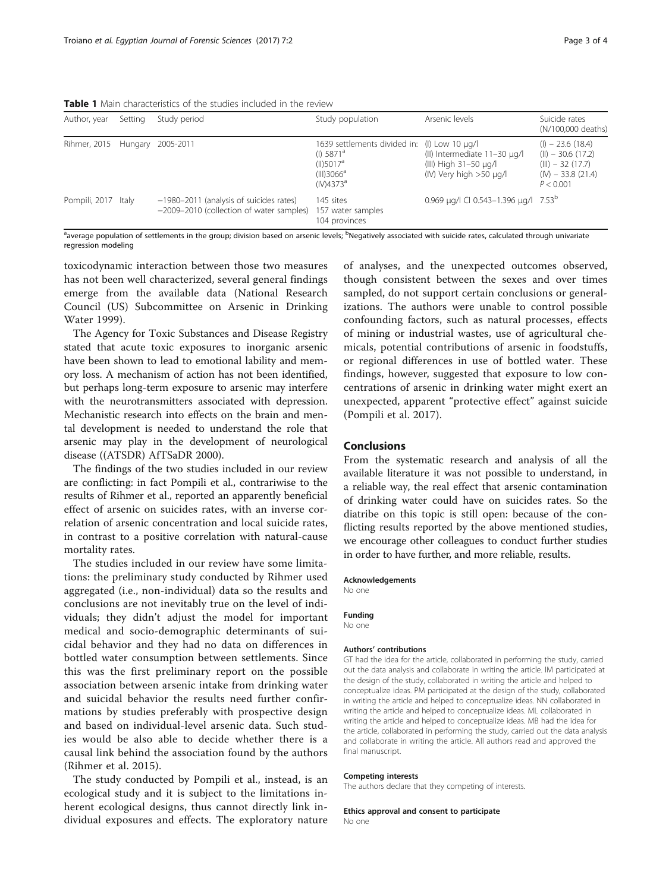| Author, year         | Setting | Study period                                                                        | Study population                                                                                                       | Arsenic levels                                                                   | Suicide rates<br>(N/100,000 deaths)                                                                 |
|----------------------|---------|-------------------------------------------------------------------------------------|------------------------------------------------------------------------------------------------------------------------|----------------------------------------------------------------------------------|-----------------------------------------------------------------------------------------------------|
| Rihmer, 2015 Hungary |         | 2005-2011                                                                           | 1639 settlements divided in: (I) Low 10 µg/l<br>(l) $5871^a$<br>$(11)5017^a$<br>(III)3066 <sup>a</sup><br>$(IV)4373^a$ | (II) Intermediate 11-30 µg/l<br>(III) High 31-50 µg/l<br>(IV) Very high >50 µg/l | $(l) - 23.6(18.4)$<br>$(1) - 30.6$ (17.2)<br>$(III) - 32(17.7)$<br>$(IV) - 33.8(21.4)$<br>P < 0.001 |
| Pompili, 2017        | Italy   | -1980-2011 (analysis of suicides rates)<br>-2009-2010 (collection of water samples) | 145 sites<br>157 water samples<br>104 provinces                                                                        | 0.969 µg/l CI 0.543-1.396 µg/l 7.53 <sup>b</sup>                                 |                                                                                                     |

<span id="page-2-0"></span>Table 1 Main characteristics of the studies included in the review

<sup>a</sup>average population of settlements in the group; division based on arsenic levels; <sup>b</sup>Negatively associated with suicide rates, calculated through univariate regression modeling

toxicodynamic interaction between those two measures has not been well characterized, several general findings emerge from the available data (National Research Council (US) Subcommittee on Arsenic in Drinking Water [1999\)](#page-3-0).

The Agency for Toxic Substances and Disease Registry stated that acute toxic exposures to inorganic arsenic have been shown to lead to emotional lability and memory loss. A mechanism of action has not been identified, but perhaps long-term exposure to arsenic may interfere with the neurotransmitters associated with depression. Mechanistic research into effects on the brain and mental development is needed to understand the role that arsenic may play in the development of neurological disease ((ATSDR) AfTSaDR [2000](#page-3-0)).

The findings of the two studies included in our review are conflicting: in fact Pompili et al., contrariwise to the results of Rihmer et al., reported an apparently beneficial effect of arsenic on suicides rates, with an inverse correlation of arsenic concentration and local suicide rates, in contrast to a positive correlation with natural-cause mortality rates.

The studies included in our review have some limitations: the preliminary study conducted by Rihmer used aggregated (i.e., non-individual) data so the results and conclusions are not inevitably true on the level of individuals; they didn't adjust the model for important medical and socio-demographic determinants of suicidal behavior and they had no data on differences in bottled water consumption between settlements. Since this was the first preliminary report on the possible association between arsenic intake from drinking water and suicidal behavior the results need further confirmations by studies preferably with prospective design and based on individual-level arsenic data. Such studies would be also able to decide whether there is a causal link behind the association found by the authors (Rihmer et al. [2015\)](#page-3-0).

The study conducted by Pompili et al., instead, is an ecological study and it is subject to the limitations inherent ecological designs, thus cannot directly link individual exposures and effects. The exploratory nature

of analyses, and the unexpected outcomes observed, though consistent between the sexes and over times sampled, do not support certain conclusions or generalizations. The authors were unable to control possible confounding factors, such as natural processes, effects of mining or industrial wastes, use of agricultural chemicals, potential contributions of arsenic in foodstuffs, or regional differences in use of bottled water. These findings, however, suggested that exposure to low concentrations of arsenic in drinking water might exert an unexpected, apparent "protective effect" against suicide (Pompili et al. [2017](#page-3-0)).

# Conclusions

From the systematic research and analysis of all the available literature it was not possible to understand, in a reliable way, the real effect that arsenic contamination of drinking water could have on suicides rates. So the diatribe on this topic is still open: because of the conflicting results reported by the above mentioned studies, we encourage other colleagues to conduct further studies in order to have further, and more reliable, results.

Acknowledgements

No one

Funding No one

#### Authors' contributions

GT had the idea for the article, collaborated in performing the study, carried out the data analysis and collaborate in writing the article. IM participated at the design of the study, collaborated in writing the article and helped to conceptualize ideas. PM participated at the design of the study, collaborated in writing the article and helped to conceptualize ideas. NN collaborated in writing the article and helped to conceptualize ideas. ML collaborated in writing the article and helped to conceptualize ideas. MB had the idea for the article, collaborated in performing the study, carried out the data analysis and collaborate in writing the article. All authors read and approved the final manuscript.

#### Competing interests

The authors declare that they competing of interests.

Ethics approval and consent to participate

No one